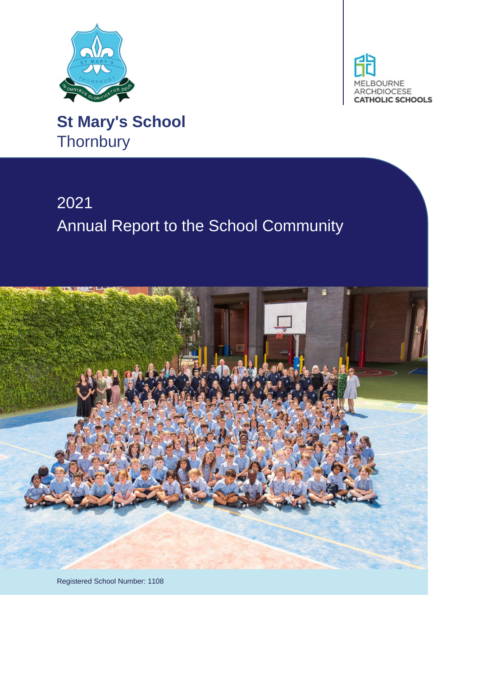



**St Mary's School Thornbury** 

# 2021 Annual Report to the School Community



Registered School Number: 1108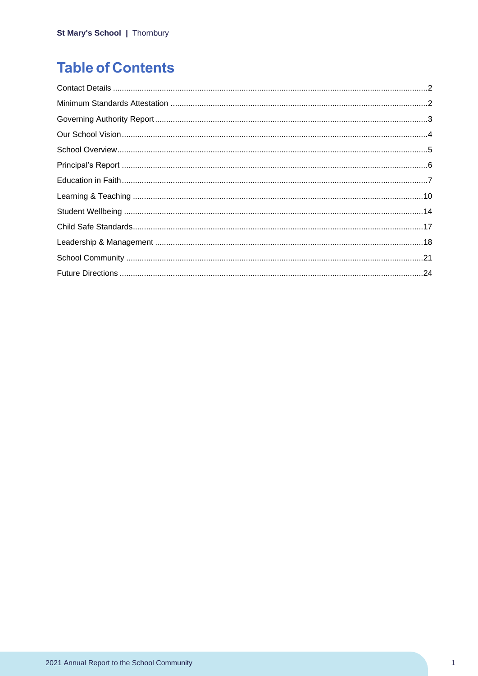## **Table of Contents**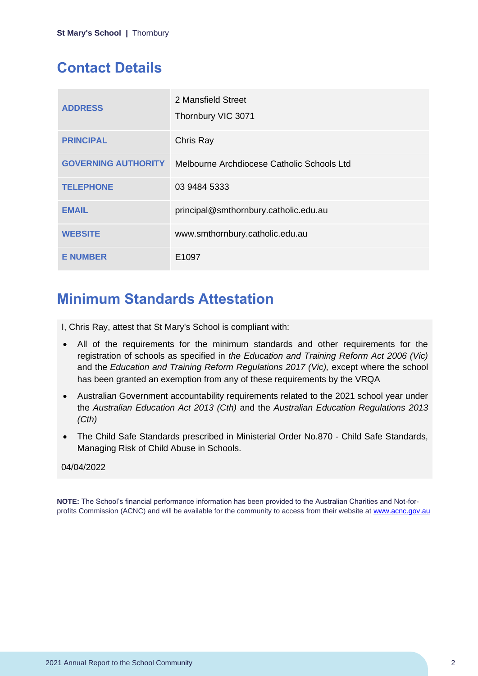## <span id="page-2-0"></span>**Contact Details**

| <b>ADDRESS</b>             | 2 Mansfield Street<br>Thornbury VIC 3071   |
|----------------------------|--------------------------------------------|
| <b>PRINCIPAL</b>           | Chris Ray                                  |
| <b>GOVERNING AUTHORITY</b> | Melbourne Archdiocese Catholic Schools Ltd |
| <b>TELEPHONE</b>           | 03 9484 5333                               |
| <b>EMAIL</b>               | principal@smthornbury.catholic.edu.au      |
| <b>WEBSITE</b>             | www.smthornbury.catholic.edu.au            |
| <b>E NUMBER</b>            | E <sub>1097</sub>                          |

## <span id="page-2-1"></span>**Minimum Standards Attestation**

I, Chris Ray, attest that St Mary's School is compliant with:

- All of the requirements for the minimum standards and other requirements for the registration of schools as specified in *the Education and Training Reform Act 2006 (Vic)* and the *Education and Training Reform Regulations 2017 (Vic),* except where the school has been granted an exemption from any of these requirements by the VRQA
- Australian Government accountability requirements related to the 2021 school year under the *Australian Education Act 2013 (Cth)* and the *Australian Education Regulations 2013 (Cth)*
- The Child Safe Standards prescribed in Ministerial Order No.870 Child Safe Standards, Managing Risk of Child Abuse in Schools.

### 04/04/2022

**NOTE:** The School's financial performance information has been provided to the Australian Charities and Not-forprofits Commission (ACNC) and will be available for the community to access from their website at [www.acnc.gov.au](http://www.acnc.gov.au/)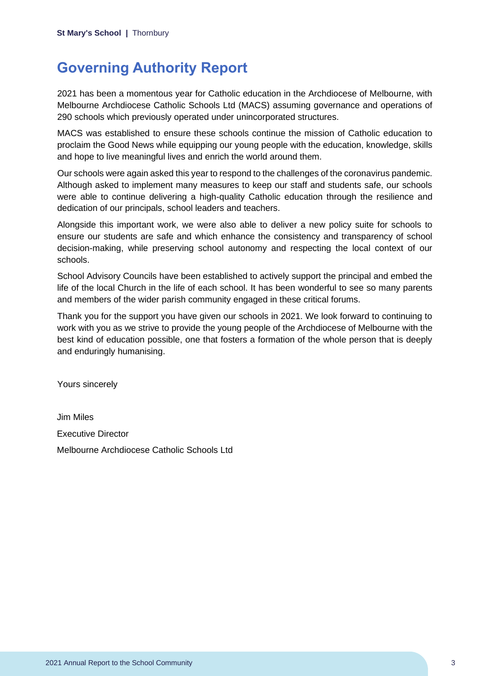## <span id="page-3-0"></span>**Governing Authority Report**

2021 has been a momentous year for Catholic education in the Archdiocese of Melbourne, with Melbourne Archdiocese Catholic Schools Ltd (MACS) assuming governance and operations of 290 schools which previously operated under unincorporated structures.

MACS was established to ensure these schools continue the mission of Catholic education to proclaim the Good News while equipping our young people with the education, knowledge, skills and hope to live meaningful lives and enrich the world around them.

Our schools were again asked this year to respond to the challenges of the coronavirus pandemic. Although asked to implement many measures to keep our staff and students safe, our schools were able to continue delivering a high-quality Catholic education through the resilience and dedication of our principals, school leaders and teachers.

Alongside this important work, we were also able to deliver a new policy suite for schools to ensure our students are safe and which enhance the consistency and transparency of school decision-making, while preserving school autonomy and respecting the local context of our schools.

School Advisory Councils have been established to actively support the principal and embed the life of the local Church in the life of each school. It has been wonderful to see so many parents and members of the wider parish community engaged in these critical forums.

Thank you for the support you have given our schools in 2021. We look forward to continuing to work with you as we strive to provide the young people of the Archdiocese of Melbourne with the best kind of education possible, one that fosters a formation of the whole person that is deeply and enduringly humanising.

Yours sincerely

Jim Miles Executive Director Melbourne Archdiocese Catholic Schools Ltd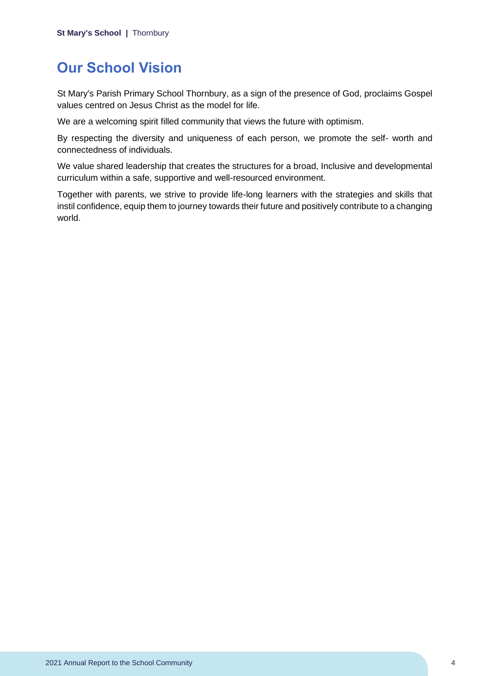## <span id="page-4-0"></span>**Our School Vision**

St Mary's Parish Primary School Thornbury, as a sign of the presence of God, proclaims Gospel values centred on Jesus Christ as the model for life.

We are a welcoming spirit filled community that views the future with optimism.

By respecting the diversity and uniqueness of each person, we promote the self- worth and connectedness of individuals.

We value shared leadership that creates the structures for a broad, Inclusive and developmental curriculum within a safe, supportive and well-resourced environment.

Together with parents, we strive to provide life-long learners with the strategies and skills that instil confidence, equip them to journey towards their future and positively contribute to a changing world.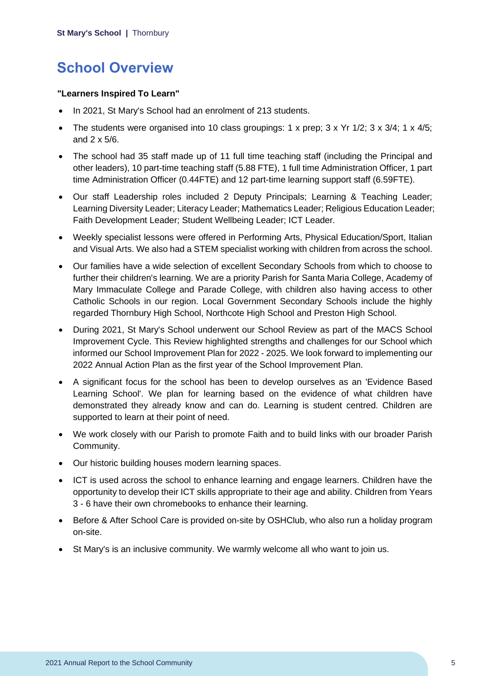## <span id="page-5-0"></span>**School Overview**

### **"Learners Inspired To Learn"**

- In 2021, St Mary's School had an enrolment of 213 students.
- The students were organised into 10 class groupings: 1 x prep;  $3 \times Yr$  1/2;  $3 \times 3/4$ ; 1 x 4/5; and 2 x 5/6.
- The school had 35 staff made up of 11 full time teaching staff (including the Principal and other leaders), 10 part-time teaching staff (5.88 FTE), 1 full time Administration Officer, 1 part time Administration Officer (0.44FTE) and 12 part-time learning support staff (6.59FTE).
- Our staff Leadership roles included 2 Deputy Principals; Learning & Teaching Leader; Learning Diversity Leader; Literacy Leader; Mathematics Leader; Religious Education Leader; Faith Development Leader; Student Wellbeing Leader; ICT Leader.
- Weekly specialist lessons were offered in Performing Arts, Physical Education/Sport, Italian and Visual Arts. We also had a STEM specialist working with children from across the school.
- Our families have a wide selection of excellent Secondary Schools from which to choose to further their children's learning. We are a priority Parish for Santa Maria College, Academy of Mary Immaculate College and Parade College, with children also having access to other Catholic Schools in our region. Local Government Secondary Schools include the highly regarded Thornbury High School, Northcote High School and Preston High School.
- During 2021, St Mary's School underwent our School Review as part of the MACS School Improvement Cycle. This Review highlighted strengths and challenges for our School which informed our School Improvement Plan for 2022 - 2025. We look forward to implementing our 2022 Annual Action Plan as the first year of the School Improvement Plan.
- A significant focus for the school has been to develop ourselves as an 'Evidence Based Learning School'. We plan for learning based on the evidence of what children have demonstrated they already know and can do. Learning is student centred. Children are supported to learn at their point of need.
- We work closely with our Parish to promote Faith and to build links with our broader Parish Community.
- Our historic building houses modern learning spaces.
- ICT is used across the school to enhance learning and engage learners. Children have the opportunity to develop their ICT skills appropriate to their age and ability. Children from Years 3 - 6 have their own chromebooks to enhance their learning.
- Before & After School Care is provided on-site by OSHClub, who also run a holiday program on-site.
- St Mary's is an inclusive community. We warmly welcome all who want to join us.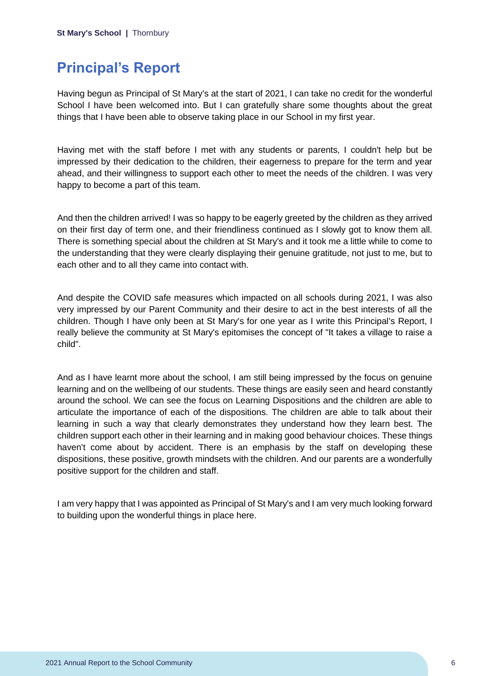## <span id="page-6-0"></span>**Principal's Report**

Having begun as Principal of St Mary's at the start of 2021, I can take no credit for the wonderful School I have been welcomed into. But I can gratefully share some thoughts about the great things that I have been able to observe taking place in our School in my first year.

Having met with the staff before I met with any students or parents, I couldn't help but be impressed by their dedication to the children, their eagerness to prepare for the term and year ahead, and their willingness to support each other to meet the needs of the children. I was very happy to become a part of this team.

And then the children arrived! I was so happy to be eagerly greeted by the children as they arrived on their first day of term one, and their friendliness continued as I slowly got to know them all. There is something special about the children at St Mary's and it took me a little while to come to the understanding that they were clearly displaying their genuine gratitude, not just to me, but to each other and to all they came into contact with.

And despite the COVID safe measures which impacted on all schools during 2021, I was also very impressed by our Parent Community and their desire to act in the best interests of all the children. Though I have only been at St Mary's for one year as I write this Principal's Report, I really believe the community at St Mary's epitomises the concept of "It takes a village to raise a child".

And as I have learnt more about the school, I am still being impressed by the focus on genuine learning and on the wellbeing of our students. These things are easily seen and heard constantly around the school. We can see the focus on Learning Dispositions and the children are able to articulate the importance of each of the dispositions. The children are able to talk about their learning in such a way that clearly demonstrates they understand how they learn best. The children support each other in their learning and in making good behaviour choices. These things haven't come about by accident. There is an emphasis by the staff on developing these dispositions, these positive, growth mindsets with the children. And our parents are a wonderfully positive support for the children and staff.

I am very happy that I was appointed as Principal of St Mary's and I am very much looking forward to building upon the wonderful things in place here.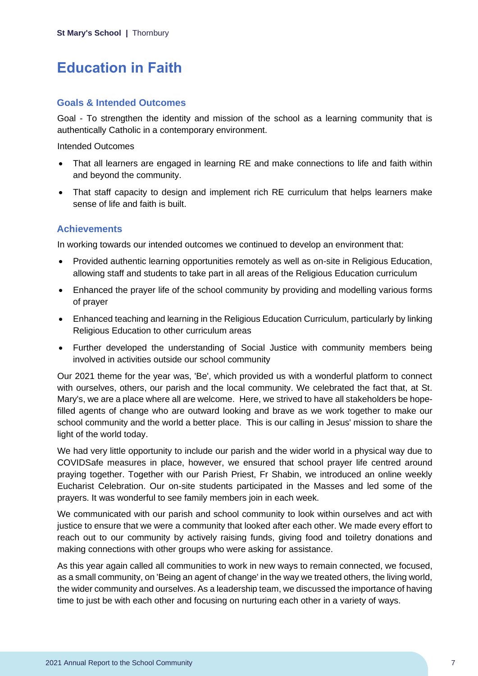## <span id="page-7-0"></span>**Education in Faith**

### **Goals & Intended Outcomes**

Goal - To strengthen the identity and mission of the school as a learning community that is authentically Catholic in a contemporary environment.

Intended Outcomes

- That all learners are engaged in learning RE and make connections to life and faith within and beyond the community.
- That staff capacity to design and implement rich RE curriculum that helps learners make sense of life and faith is built.

### **Achievements**

In working towards our intended outcomes we continued to develop an environment that:

- Provided authentic learning opportunities remotely as well as on-site in Religious Education, allowing staff and students to take part in all areas of the Religious Education curriculum
- Enhanced the prayer life of the school community by providing and modelling various forms of prayer
- Enhanced teaching and learning in the Religious Education Curriculum, particularly by linking Religious Education to other curriculum areas
- Further developed the understanding of Social Justice with community members being involved in activities outside our school community

Our 2021 theme for the year was, 'Be', which provided us with a wonderful platform to connect with ourselves, others, our parish and the local community. We celebrated the fact that, at St. Mary's, we are a place where all are welcome. Here, we strived to have all stakeholders be hopefilled agents of change who are outward looking and brave as we work together to make our school community and the world a better place. This is our calling in Jesus' mission to share the light of the world today.

We had very little opportunity to include our parish and the wider world in a physical way due to COVIDSafe measures in place, however, we ensured that school prayer life centred around praying together. Together with our Parish Priest, Fr Shabin, we introduced an online weekly Eucharist Celebration. Our on-site students participated in the Masses and led some of the prayers. It was wonderful to see family members join in each week.

We communicated with our parish and school community to look within ourselves and act with justice to ensure that we were a community that looked after each other. We made every effort to reach out to our community by actively raising funds, giving food and toiletry donations and making connections with other groups who were asking for assistance.

As this year again called all communities to work in new ways to remain connected, we focused, as a small community, on 'Being an agent of change' in the way we treated others, the living world, the wider community and ourselves. As a leadership team, we discussed the importance of having time to just be with each other and focusing on nurturing each other in a variety of ways.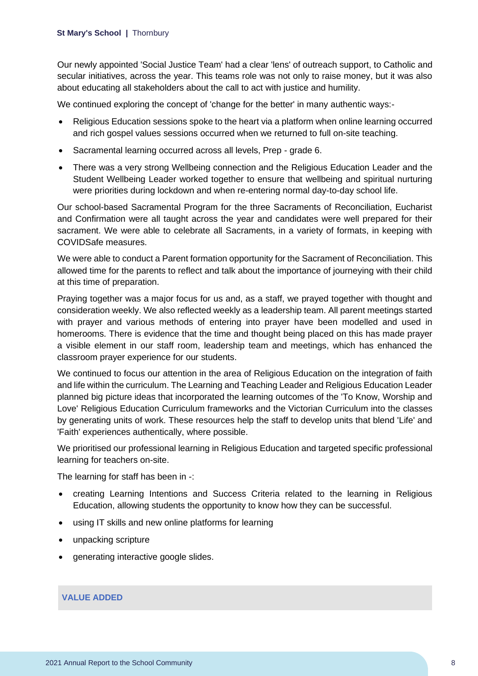Our newly appointed 'Social Justice Team' had a clear 'lens' of outreach support, to Catholic and secular initiatives, across the year. This teams role was not only to raise money, but it was also about educating all stakeholders about the call to act with justice and humility.

We continued exploring the concept of 'change for the better' in many authentic ways:-

- Religious Education sessions spoke to the heart via a platform when online learning occurred and rich gospel values sessions occurred when we returned to full on-site teaching.
- Sacramental learning occurred across all levels, Prep grade 6.
- There was a very strong Wellbeing connection and the Religious Education Leader and the Student Wellbeing Leader worked together to ensure that wellbeing and spiritual nurturing were priorities during lockdown and when re-entering normal day-to-day school life.

Our school-based Sacramental Program for the three Sacraments of Reconciliation, Eucharist and Confirmation were all taught across the year and candidates were well prepared for their sacrament. We were able to celebrate all Sacraments, in a variety of formats, in keeping with COVIDSafe measures.

We were able to conduct a Parent formation opportunity for the Sacrament of Reconciliation. This allowed time for the parents to reflect and talk about the importance of journeying with their child at this time of preparation.

Praying together was a major focus for us and, as a staff, we prayed together with thought and consideration weekly. We also reflected weekly as a leadership team. All parent meetings started with prayer and various methods of entering into prayer have been modelled and used in homerooms. There is evidence that the time and thought being placed on this has made prayer a visible element in our staff room, leadership team and meetings, which has enhanced the classroom prayer experience for our students.

We continued to focus our attention in the area of Religious Education on the integration of faith and life within the curriculum. The Learning and Teaching Leader and Religious Education Leader planned big picture ideas that incorporated the learning outcomes of the 'To Know, Worship and Love' Religious Education Curriculum frameworks and the Victorian Curriculum into the classes by generating units of work. These resources help the staff to develop units that blend 'Life' and 'Faith' experiences authentically, where possible.

We prioritised our professional learning in Religious Education and targeted specific professional learning for teachers on-site.

The learning for staff has been in -:

- creating Learning Intentions and Success Criteria related to the learning in Religious Education, allowing students the opportunity to know how they can be successful.
- using IT skills and new online platforms for learning
- unpacking scripture
- generating interactive google slides.

#### **VALUE ADDED**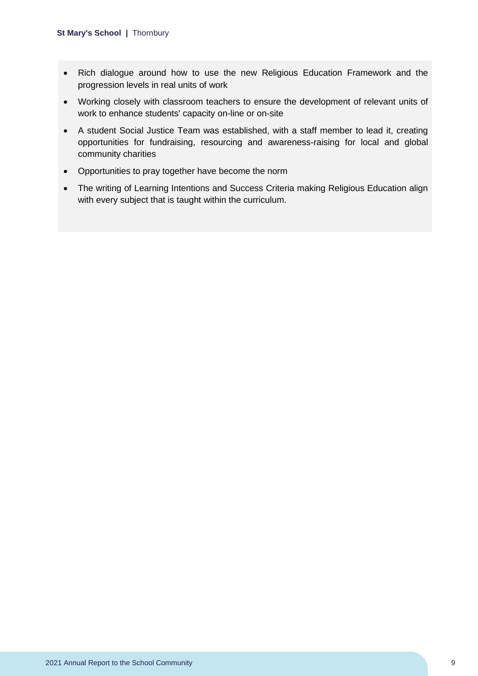- Rich dialogue around how to use the new Religious Education Framework and the progression levels in real units of work
- Working closely with classroom teachers to ensure the development of relevant units of work to enhance students' capacity on-line or on-site
- A student Social Justice Team was established, with a staff member to lead it, creating opportunities for fundraising, resourcing and awareness-raising for local and global community charities
- Opportunities to pray together have become the norm
- The writing of Learning Intentions and Success Criteria making Religious Education align with every subject that is taught within the curriculum.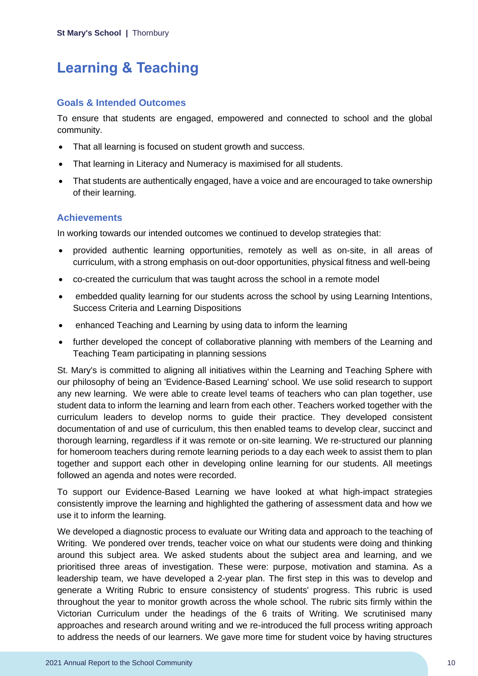## <span id="page-10-0"></span>**Learning & Teaching**

### **Goals & Intended Outcomes**

To ensure that students are engaged, empowered and connected to school and the global community.

- That all learning is focused on student growth and success.
- That learning in Literacy and Numeracy is maximised for all students.
- That students are authentically engaged, have a voice and are encouraged to take ownership of their learning.

### **Achievements**

In working towards our intended outcomes we continued to develop strategies that:

- provided authentic learning opportunities, remotely as well as on-site, in all areas of curriculum, with a strong emphasis on out-door opportunities, physical fitness and well-being
- co-created the curriculum that was taught across the school in a remote model
- embedded quality learning for our students across the school by using Learning Intentions, Success Criteria and Learning Dispositions
- enhanced Teaching and Learning by using data to inform the learning
- further developed the concept of collaborative planning with members of the Learning and Teaching Team participating in planning sessions

St. Mary's is committed to aligning all initiatives within the Learning and Teaching Sphere with our philosophy of being an 'Evidence-Based Learning' school. We use solid research to support any new learning. We were able to create level teams of teachers who can plan together, use student data to inform the learning and learn from each other. Teachers worked together with the curriculum leaders to develop norms to guide their practice. They developed consistent documentation of and use of curriculum, this then enabled teams to develop clear, succinct and thorough learning, regardless if it was remote or on-site learning. We re-structured our planning for homeroom teachers during remote learning periods to a day each week to assist them to plan together and support each other in developing online learning for our students. All meetings followed an agenda and notes were recorded.

To support our Evidence-Based Learning we have looked at what high-impact strategies consistently improve the learning and highlighted the gathering of assessment data and how we use it to inform the learning.

We developed a diagnostic process to evaluate our Writing data and approach to the teaching of Writing. We pondered over trends, teacher voice on what our students were doing and thinking around this subject area. We asked students about the subject area and learning, and we prioritised three areas of investigation. These were: purpose, motivation and stamina. As a leadership team, we have developed a 2-year plan. The first step in this was to develop and generate a Writing Rubric to ensure consistency of students' progress. This rubric is used throughout the year to monitor growth across the whole school. The rubric sits firmly within the Victorian Curriculum under the headings of the 6 traits of Writing. We scrutinised many approaches and research around writing and we re-introduced the full process writing approach to address the needs of our learners. We gave more time for student voice by having structures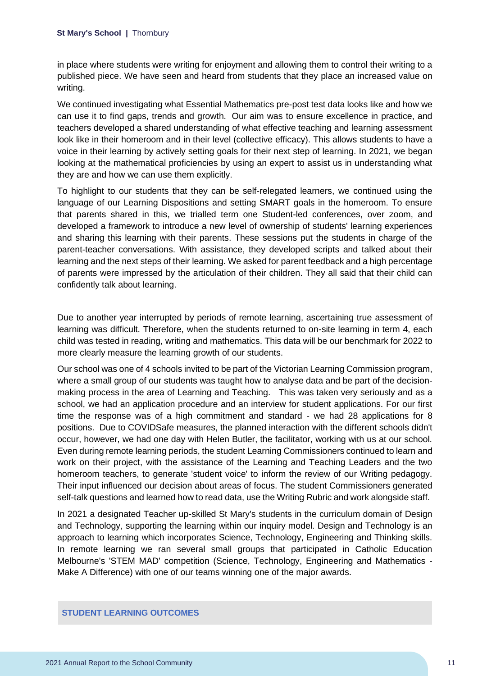in place where students were writing for enjoyment and allowing them to control their writing to a published piece. We have seen and heard from students that they place an increased value on writing.

We continued investigating what Essential Mathematics pre-post test data looks like and how we can use it to find gaps, trends and growth. Our aim was to ensure excellence in practice, and teachers developed a shared understanding of what effective teaching and learning assessment look like in their homeroom and in their level (collective efficacy). This allows students to have a voice in their learning by actively setting goals for their next step of learning. In 2021, we began looking at the mathematical proficiencies by using an expert to assist us in understanding what they are and how we can use them explicitly.

To highlight to our students that they can be self-relegated learners, we continued using the language of our Learning Dispositions and setting SMART goals in the homeroom. To ensure that parents shared in this, we trialled term one Student-led conferences, over zoom, and developed a framework to introduce a new level of ownership of students' learning experiences and sharing this learning with their parents. These sessions put the students in charge of the parent-teacher conversations. With assistance, they developed scripts and talked about their learning and the next steps of their learning. We asked for parent feedback and a high percentage of parents were impressed by the articulation of their children. They all said that their child can confidently talk about learning.

Due to another year interrupted by periods of remote learning, ascertaining true assessment of learning was difficult. Therefore, when the students returned to on-site learning in term 4, each child was tested in reading, writing and mathematics. This data will be our benchmark for 2022 to more clearly measure the learning growth of our students.

Our school was one of 4 schools invited to be part of the Victorian Learning Commission program, where a small group of our students was taught how to analyse data and be part of the decisionmaking process in the area of Learning and Teaching. This was taken very seriously and as a school, we had an application procedure and an interview for student applications. For our first time the response was of a high commitment and standard - we had 28 applications for 8 positions. Due to COVIDSafe measures, the planned interaction with the different schools didn't occur, however, we had one day with Helen Butler, the facilitator, working with us at our school. Even during remote learning periods, the student Learning Commissioners continued to learn and work on their project, with the assistance of the Learning and Teaching Leaders and the two homeroom teachers, to generate 'student voice' to inform the review of our Writing pedagogy. Their input influenced our decision about areas of focus. The student Commissioners generated self-talk questions and learned how to read data, use the Writing Rubric and work alongside staff.

In 2021 a designated Teacher up-skilled St Mary's students in the curriculum domain of Design and Technology, supporting the learning within our inquiry model. Design and Technology is an approach to learning which incorporates Science, Technology, Engineering and Thinking skills. In remote learning we ran several small groups that participated in Catholic Education Melbourne's 'STEM MAD' competition (Science, Technology, Engineering and Mathematics - Make A Difference) with one of our teams winning one of the major awards.

#### **STUDENT LEARNING OUTCOMES**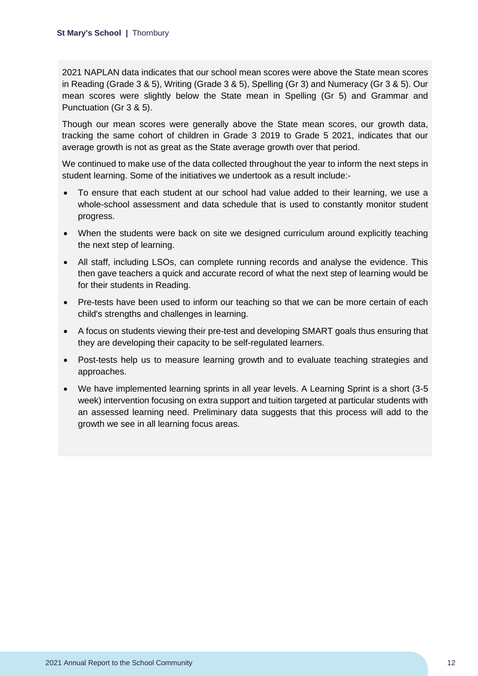2021 NAPLAN data indicates that our school mean scores were above the State mean scores in Reading (Grade 3 & 5), Writing (Grade 3 & 5), Spelling (Gr 3) and Numeracy (Gr 3 & 5). Our mean scores were slightly below the State mean in Spelling (Gr 5) and Grammar and Punctuation (Gr 3 & 5).

Though our mean scores were generally above the State mean scores, our growth data, tracking the same cohort of children in Grade 3 2019 to Grade 5 2021, indicates that our average growth is not as great as the State average growth over that period.

We continued to make use of the data collected throughout the year to inform the next steps in student learning. Some of the initiatives we undertook as a result include:-

- To ensure that each student at our school had value added to their learning, we use a whole-school assessment and data schedule that is used to constantly monitor student progress.
- When the students were back on site we designed curriculum around explicitly teaching the next step of learning.
- All staff, including LSOs, can complete running records and analyse the evidence. This then gave teachers a quick and accurate record of what the next step of learning would be for their students in Reading.
- Pre-tests have been used to inform our teaching so that we can be more certain of each child's strengths and challenges in learning.
- A focus on students viewing their pre-test and developing SMART goals thus ensuring that they are developing their capacity to be self-regulated learners.
- Post-tests help us to measure learning growth and to evaluate teaching strategies and approaches.
- We have implemented learning sprints in all year levels. A Learning Sprint is a short (3-5) week) intervention focusing on extra support and tuition targeted at particular students with an assessed learning need. Preliminary data suggests that this process will add to the growth we see in all learning focus areas.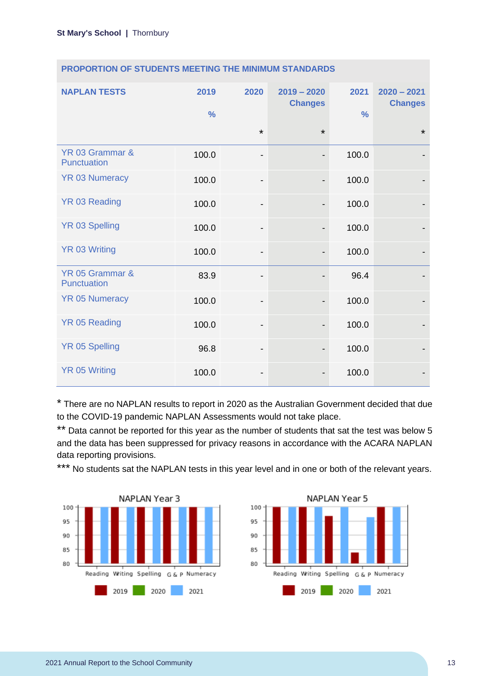| <b>NAPLAN TESTS</b>            | 2019<br>$\frac{9}{6}$ | 2020                         | $2019 - 2020$<br><b>Changes</b> | 2021<br>$\frac{0}{0}$ | $2020 - 2021$<br><b>Changes</b> |
|--------------------------------|-----------------------|------------------------------|---------------------------------|-----------------------|---------------------------------|
|                                |                       | $\star$                      | $\star$                         |                       | $\star$                         |
| YR 03 Grammar &<br>Punctuation | 100.0                 | -                            | $\overline{\phantom{a}}$        | 100.0                 |                                 |
| <b>YR 03 Numeracy</b>          | 100.0                 | $\overline{\phantom{0}}$     | $\overline{\phantom{a}}$        | 100.0                 |                                 |
| <b>YR 03 Reading</b>           | 100.0                 | $\overline{\phantom{a}}$     |                                 | 100.0                 |                                 |
| <b>YR 03 Spelling</b>          | 100.0                 | $\overline{\phantom{a}}$     | $\overline{\phantom{a}}$        | 100.0                 |                                 |
| <b>YR 03 Writing</b>           | 100.0                 | -                            |                                 | 100.0                 |                                 |
| YR 05 Grammar &<br>Punctuation | 83.9                  | -                            |                                 | 96.4                  |                                 |
| <b>YR 05 Numeracy</b>          | 100.0                 | -                            |                                 | 100.0                 |                                 |
| <b>YR 05 Reading</b>           | 100.0                 | $\qquad \qquad \blacksquare$ |                                 | 100.0                 |                                 |
| <b>YR 05 Spelling</b>          | 96.8                  | -                            |                                 | 100.0                 |                                 |
| <b>YR 05 Writing</b>           | 100.0                 |                              |                                 | 100.0                 |                                 |

### **PROPORTION OF STUDENTS MEETING THE MINIMUM STANDARDS**

\* There are no NAPLAN results to report in 2020 as the Australian Government decided that due to the COVID-19 pandemic NAPLAN Assessments would not take place.

\*\* Data cannot be reported for this year as the number of students that sat the test was below 5 and the data has been suppressed for privacy reasons in accordance with the ACARA NAPLAN data reporting provisions.

\*\*\* No students sat the NAPLAN tests in this year level and in one or both of the relevant years.



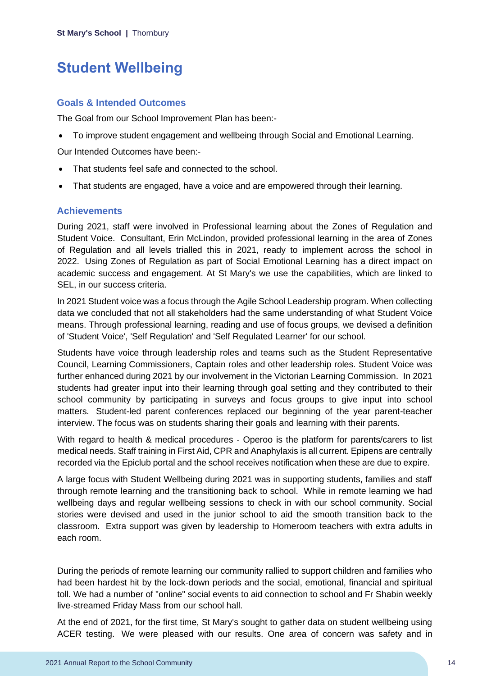## <span id="page-14-0"></span>**Student Wellbeing**

### **Goals & Intended Outcomes**

The Goal from our School Improvement Plan has been:-

• To improve student engagement and wellbeing through Social and Emotional Learning.

Our Intended Outcomes have been:-

- That students feel safe and connected to the school.
- That students are engaged, have a voice and are empowered through their learning.

### **Achievements**

During 2021, staff were involved in Professional learning about the Zones of Regulation and Student Voice. Consultant, Erin McLindon, provided professional learning in the area of Zones of Regulation and all levels trialled this in 2021, ready to implement across the school in 2022. Using Zones of Regulation as part of Social Emotional Learning has a direct impact on academic success and engagement. At St Mary's we use the capabilities, which are linked to SEL, in our success criteria.

In 2021 Student voice was a focus through the Agile School Leadership program. When collecting data we concluded that not all stakeholders had the same understanding of what Student Voice means. Through professional learning, reading and use of focus groups, we devised a definition of 'Student Voice', 'Self Regulation' and 'Self Regulated Learner' for our school.

Students have voice through leadership roles and teams such as the Student Representative Council, Learning Commissioners, Captain roles and other leadership roles. Student Voice was further enhanced during 2021 by our involvement in the Victorian Learning Commission. In 2021 students had greater input into their learning through goal setting and they contributed to their school community by participating in surveys and focus groups to give input into school matters. Student-led parent conferences replaced our beginning of the year parent-teacher interview. The focus was on students sharing their goals and learning with their parents.

With regard to health & medical procedures - Operoo is the platform for parents/carers to list medical needs. Staff training in First Aid, CPR and Anaphylaxis is all current. Epipens are centrally recorded via the Epiclub portal and the school receives notification when these are due to expire.

A large focus with Student Wellbeing during 2021 was in supporting students, families and staff through remote learning and the transitioning back to school. While in remote learning we had wellbeing days and regular wellbeing sessions to check in with our school community. Social stories were devised and used in the junior school to aid the smooth transition back to the classroom. Extra support was given by leadership to Homeroom teachers with extra adults in each room.

During the periods of remote learning our community rallied to support children and families who had been hardest hit by the lock-down periods and the social, emotional, financial and spiritual toll. We had a number of "online" social events to aid connection to school and Fr Shabin weekly live-streamed Friday Mass from our school hall.

At the end of 2021, for the first time, St Mary's sought to gather data on student wellbeing using ACER testing. We were pleased with our results. One area of concern was safety and in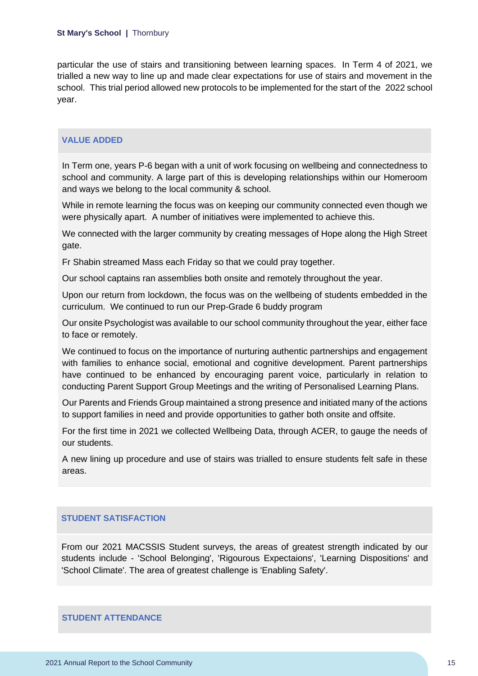particular the use of stairs and transitioning between learning spaces. In Term 4 of 2021, we trialled a new way to line up and made clear expectations for use of stairs and movement in the school. This trial period allowed new protocols to be implemented for the start of the 2022 school year.

### **VALUE ADDED**

In Term one, years P-6 began with a unit of work focusing on wellbeing and connectedness to school and community. A large part of this is developing relationships within our Homeroom and ways we belong to the local community & school.

While in remote learning the focus was on keeping our community connected even though we were physically apart. A number of initiatives were implemented to achieve this.

We connected with the larger community by creating messages of Hope along the High Street gate.

Fr Shabin streamed Mass each Friday so that we could pray together.

Our school captains ran assemblies both onsite and remotely throughout the year.

Upon our return from lockdown, the focus was on the wellbeing of students embedded in the curriculum. We continued to run our Prep-Grade 6 buddy program

Our onsite Psychologist was available to our school community throughout the year, either face to face or remotely.

We continued to focus on the importance of nurturing authentic partnerships and engagement with families to enhance social, emotional and cognitive development. Parent partnerships have continued to be enhanced by encouraging parent voice, particularly in relation to conducting Parent Support Group Meetings and the writing of Personalised Learning Plans.

Our Parents and Friends Group maintained a strong presence and initiated many of the actions to support families in need and provide opportunities to gather both onsite and offsite.

For the first time in 2021 we collected Wellbeing Data, through ACER, to gauge the needs of our students.

A new lining up procedure and use of stairs was trialled to ensure students felt safe in these areas.

### **STUDENT SATISFACTION**

From our 2021 MACSSIS Student surveys, the areas of greatest strength indicated by our students include - 'School Belonging', 'Rigourous Expectaions', 'Learning Dispositions' and 'School Climate'. The area of greatest challenge is 'Enabling Safety'.

**STUDENT ATTENDANCE**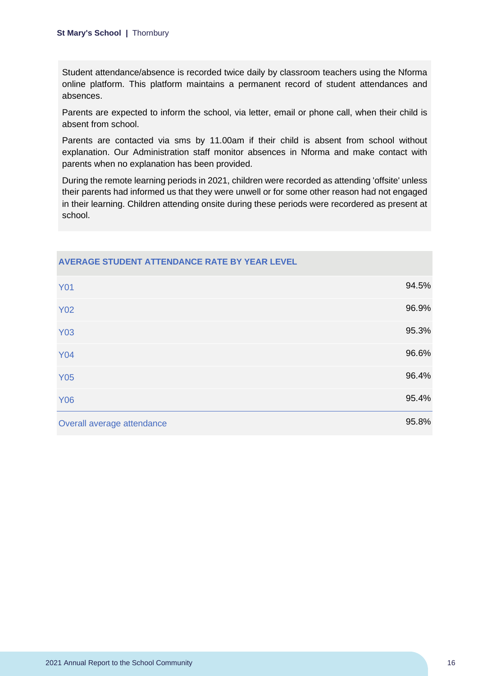Student attendance/absence is recorded twice daily by classroom teachers using the Nforma online platform. This platform maintains a permanent record of student attendances and absences.

Parents are expected to inform the school, via letter, email or phone call, when their child is absent from school.

Parents are contacted via sms by 11.00am if their child is absent from school without explanation. Our Administration staff monitor absences in Nforma and make contact with parents when no explanation has been provided.

During the remote learning periods in 2021, children were recorded as attending 'offsite' unless their parents had informed us that they were unwell or for some other reason had not engaged in their learning. Children attending onsite during these periods were recordered as present at school.

| <b>Y01</b>                 | 94.5% |
|----------------------------|-------|
| <b>Y02</b>                 | 96.9% |
| <b>Y03</b>                 | 95.3% |
| <b>Y04</b>                 | 96.6% |
| <b>Y05</b>                 | 96.4% |
| <b>Y06</b>                 | 95.4% |
| Overall average attendance | 95.8% |

## **AVERAGE STUDENT ATTENDANCE RATE BY YEAR LEVEL**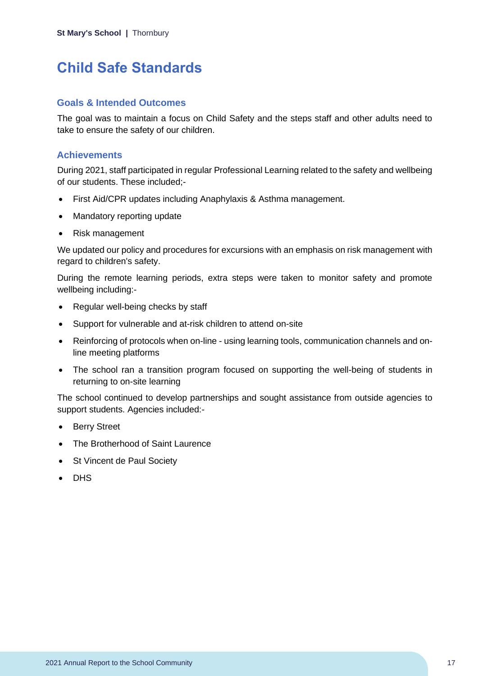## <span id="page-17-0"></span>**Child Safe Standards**

### **Goals & Intended Outcomes**

The goal was to maintain a focus on Child Safety and the steps staff and other adults need to take to ensure the safety of our children.

### **Achievements**

During 2021, staff participated in regular Professional Learning related to the safety and wellbeing of our students. These included;-

- First Aid/CPR updates including Anaphylaxis & Asthma management.
- Mandatory reporting update
- Risk management

We updated our policy and procedures for excursions with an emphasis on risk management with regard to children's safety.

During the remote learning periods, extra steps were taken to monitor safety and promote wellbeing including:-

- Regular well-being checks by staff
- Support for vulnerable and at-risk children to attend on-site
- Reinforcing of protocols when on-line using learning tools, communication channels and online meeting platforms
- The school ran a transition program focused on supporting the well-being of students in returning to on-site learning

The school continued to develop partnerships and sought assistance from outside agencies to support students. Agencies included:-

- Berry Street
- The Brotherhood of Saint Laurence
- St Vincent de Paul Society
- DHS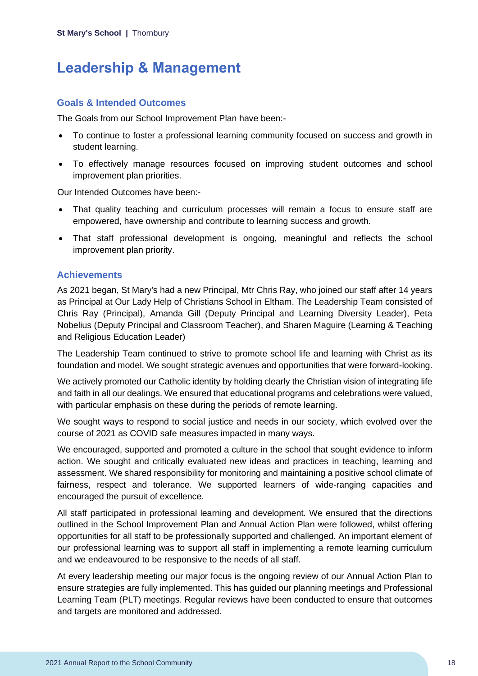## <span id="page-18-0"></span>**Leadership & Management**

### **Goals & Intended Outcomes**

The Goals from our School Improvement Plan have been:-

- To continue to foster a professional learning community focused on success and growth in student learning.
- To effectively manage resources focused on improving student outcomes and school improvement plan priorities.

Our Intended Outcomes have been:-

- That quality teaching and curriculum processes will remain a focus to ensure staff are empowered, have ownership and contribute to learning success and growth.
- That staff professional development is ongoing, meaningful and reflects the school improvement plan priority.

### **Achievements**

As 2021 began, St Mary's had a new Principal, Mtr Chris Ray, who joined our staff after 14 years as Principal at Our Lady Help of Christians School in Eltham. The Leadership Team consisted of Chris Ray (Principal), Amanda Gill (Deputy Principal and Learning Diversity Leader), Peta Nobelius (Deputy Principal and Classroom Teacher), and Sharen Maguire (Learning & Teaching and Religious Education Leader)

The Leadership Team continued to strive to promote school life and learning with Christ as its foundation and model. We sought strategic avenues and opportunities that were forward-looking.

We actively promoted our Catholic identity by holding clearly the Christian vision of integrating life and faith in all our dealings. We ensured that educational programs and celebrations were valued, with particular emphasis on these during the periods of remote learning.

We sought ways to respond to social justice and needs in our society, which evolved over the course of 2021 as COVID safe measures impacted in many ways.

We encouraged, supported and promoted a culture in the school that sought evidence to inform action. We sought and critically evaluated new ideas and practices in teaching, learning and assessment. We shared responsibility for monitoring and maintaining a positive school climate of fairness, respect and tolerance. We supported learners of wide-ranging capacities and encouraged the pursuit of excellence.

All staff participated in professional learning and development. We ensured that the directions outlined in the School Improvement Plan and Annual Action Plan were followed, whilst offering opportunities for all staff to be professionally supported and challenged. An important element of our professional learning was to support all staff in implementing a remote learning curriculum and we endeavoured to be responsive to the needs of all staff.

At every leadership meeting our major focus is the ongoing review of our Annual Action Plan to ensure strategies are fully implemented. This has guided our planning meetings and Professional Learning Team (PLT) meetings. Regular reviews have been conducted to ensure that outcomes and targets are monitored and addressed.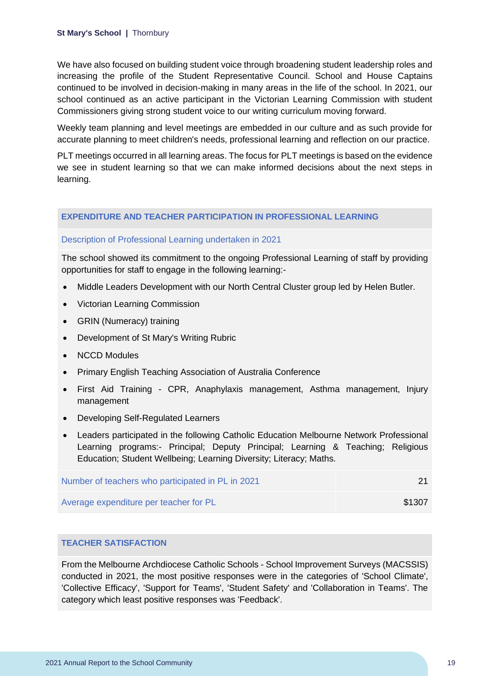We have also focused on building student voice through broadening student leadership roles and increasing the profile of the Student Representative Council. School and House Captains continued to be involved in decision-making in many areas in the life of the school. In 2021, our school continued as an active participant in the Victorian Learning Commission with student Commissioners giving strong student voice to our writing curriculum moving forward.

Weekly team planning and level meetings are embedded in our culture and as such provide for accurate planning to meet children's needs, professional learning and reflection on our practice.

PLT meetings occurred in all learning areas. The focus for PLT meetings is based on the evidence we see in student learning so that we can make informed decisions about the next steps in learning.

#### **EXPENDITURE AND TEACHER PARTICIPATION IN PROFESSIONAL LEARNING**

#### Description of Professional Learning undertaken in 2021

The school showed its commitment to the ongoing Professional Learning of staff by providing opportunities for staff to engage in the following learning:-

- Middle Leaders Development with our North Central Cluster group led by Helen Butler.
- Victorian Learning Commission
- GRIN (Numeracy) training
- Development of St Mary's Writing Rubric
- NCCD Modules
- Primary English Teaching Association of Australia Conference
- First Aid Training CPR, Anaphylaxis management, Asthma management, Injury management
- Developing Self-Regulated Learners
- Leaders participated in the following Catholic Education Melbourne Network Professional Learning programs:- Principal; Deputy Principal; Learning & Teaching; Religious Education; Student Wellbeing; Learning Diversity; Literacy; Maths.

| Number of teachers who participated in PL in 2021 |        |
|---------------------------------------------------|--------|
| Average expenditure per teacher for PL            | \$1307 |

#### **TEACHER SATISFACTION**

From the Melbourne Archdiocese Catholic Schools - School Improvement Surveys (MACSSIS) conducted in 2021, the most positive responses were in the categories of 'School Climate', 'Collective Efficacy', 'Support for Teams', 'Student Safety' and 'Collaboration in Teams'. The category which least positive responses was 'Feedback'.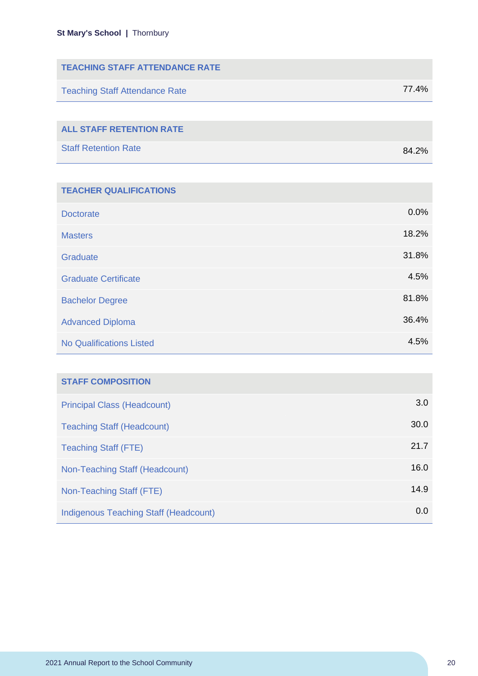| <b>TEACHING STAFF ATTENDANCE RATE</b> |       |
|---------------------------------------|-------|
| <b>Teaching Staff Attendance Rate</b> | 77.4% |
|                                       |       |
| <b>ALL STAFF RETENTION RATE</b>       |       |
| <b>Staff Retention Rate</b>           | 84.2% |

| <b>TEACHER QUALIFICATIONS</b>   |       |
|---------------------------------|-------|
| <b>Doctorate</b>                | 0.0%  |
| <b>Masters</b>                  | 18.2% |
| Graduate                        | 31.8% |
| <b>Graduate Certificate</b>     | 4.5%  |
| <b>Bachelor Degree</b>          | 81.8% |
| <b>Advanced Diploma</b>         | 36.4% |
| <b>No Qualifications Listed</b> | 4.5%  |

| <b>STAFF COMPOSITION</b>              |      |
|---------------------------------------|------|
| <b>Principal Class (Headcount)</b>    | 3.0  |
| <b>Teaching Staff (Headcount)</b>     | 30.0 |
| <b>Teaching Staff (FTE)</b>           | 21.7 |
| Non-Teaching Staff (Headcount)        | 16.0 |
| Non-Teaching Staff (FTE)              | 14.9 |
| Indigenous Teaching Staff (Headcount) | 0.0  |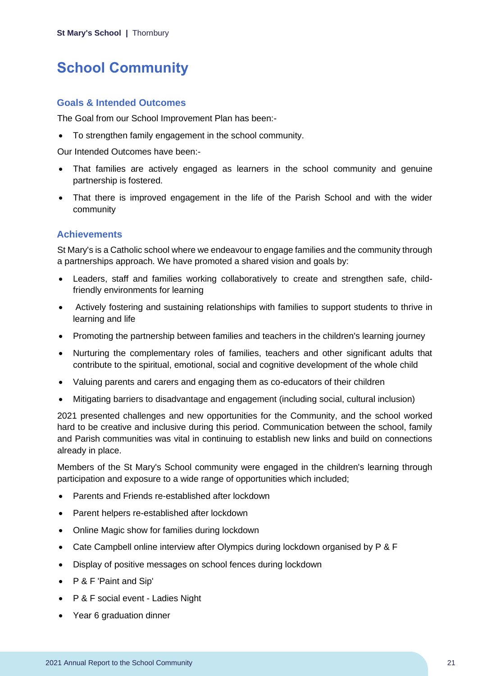## <span id="page-21-0"></span>**School Community**

### **Goals & Intended Outcomes**

The Goal from our School Improvement Plan has been:-

• To strengthen family engagement in the school community.

Our Intended Outcomes have been:-

- That families are actively engaged as learners in the school community and genuine partnership is fostered.
- That there is improved engagement in the life of the Parish School and with the wider community

### **Achievements**

St Mary's is a Catholic school where we endeavour to engage families and the community through a partnerships approach. We have promoted a shared vision and goals by:

- Leaders, staff and families working collaboratively to create and strengthen safe, childfriendly environments for learning
- Actively fostering and sustaining relationships with families to support students to thrive in learning and life
- Promoting the partnership between families and teachers in the children's learning journey
- Nurturing the complementary roles of families, teachers and other significant adults that contribute to the spiritual, emotional, social and cognitive development of the whole child
- Valuing parents and carers and engaging them as co-educators of their children
- Mitigating barriers to disadvantage and engagement (including social, cultural inclusion)

2021 presented challenges and new opportunities for the Community, and the school worked hard to be creative and inclusive during this period. Communication between the school, family and Parish communities was vital in continuing to establish new links and build on connections already in place.

Members of the St Mary's School community were engaged in the children's learning through participation and exposure to a wide range of opportunities which included;

- Parents and Friends re-established after lockdown
- Parent helpers re-established after lockdown
- Online Magic show for families during lockdown
- Cate Campbell online interview after Olympics during lockdown organised by P & F
- Display of positive messages on school fences during lockdown
- P & F 'Paint and Sip'
- P & F social event Ladies Night
- Year 6 graduation dinner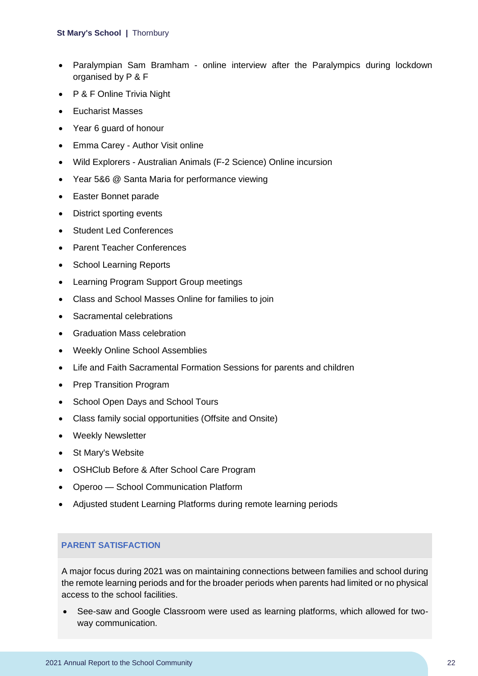- Paralympian Sam Bramham online interview after the Paralympics during lockdown organised by P & F
- P & F Online Trivia Night
- Eucharist Masses
- Year 6 guard of honour
- Emma Carey Author Visit online
- Wild Explorers Australian Animals (F-2 Science) Online incursion
- Year 5&6 @ Santa Maria for performance viewing
- Easter Bonnet parade
- District sporting events
- Student Led Conferences
- Parent Teacher Conferences
- School Learning Reports
- Learning Program Support Group meetings
- Class and School Masses Online for families to join
- Sacramental celebrations
- Graduation Mass celebration
- Weekly Online School Assemblies
- Life and Faith Sacramental Formation Sessions for parents and children
- Prep Transition Program
- School Open Days and School Tours
- Class family social opportunities (Offsite and Onsite)
- Weekly Newsletter
- St Mary's Website
- OSHClub Before & After School Care Program
- Operoo School Communication Platform
- Adjusted student Learning Platforms during remote learning periods

### **PARENT SATISFACTION**

A major focus during 2021 was on maintaining connections between families and school during the remote learning periods and for the broader periods when parents had limited or no physical access to the school facilities.

• See-saw and Google Classroom were used as learning platforms, which allowed for twoway communication.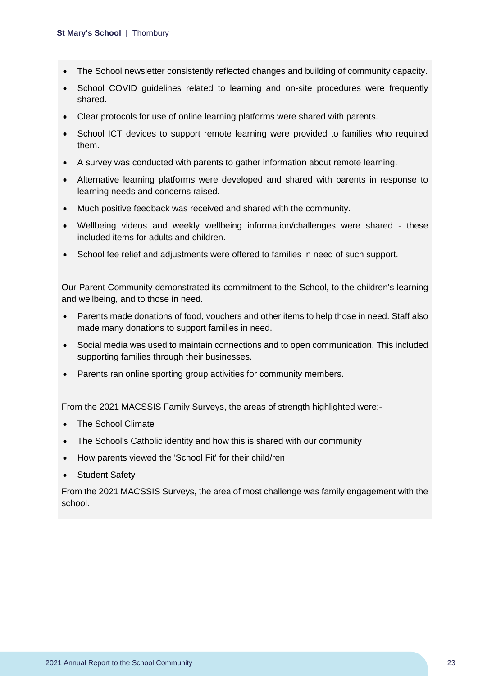- The School newsletter consistently reflected changes and building of community capacity.
- School COVID guidelines related to learning and on-site procedures were frequently shared.
- Clear protocols for use of online learning platforms were shared with parents.
- School ICT devices to support remote learning were provided to families who required them.
- A survey was conducted with parents to gather information about remote learning.
- Alternative learning platforms were developed and shared with parents in response to learning needs and concerns raised.
- Much positive feedback was received and shared with the community.
- Wellbeing videos and weekly wellbeing information/challenges were shared these included items for adults and children.
- School fee relief and adjustments were offered to families in need of such support.

Our Parent Community demonstrated its commitment to the School, to the children's learning and wellbeing, and to those in need.

- Parents made donations of food, vouchers and other items to help those in need. Staff also made many donations to support families in need.
- Social media was used to maintain connections and to open communication. This included supporting families through their businesses.
- Parents ran online sporting group activities for community members.

From the 2021 MACSSIS Family Surveys, the areas of strength highlighted were:-

- The School Climate
- The School's Catholic identity and how this is shared with our community
- How parents viewed the 'School Fit' for their child/ren
- Student Safety

From the 2021 MACSSIS Surveys, the area of most challenge was family engagement with the school.